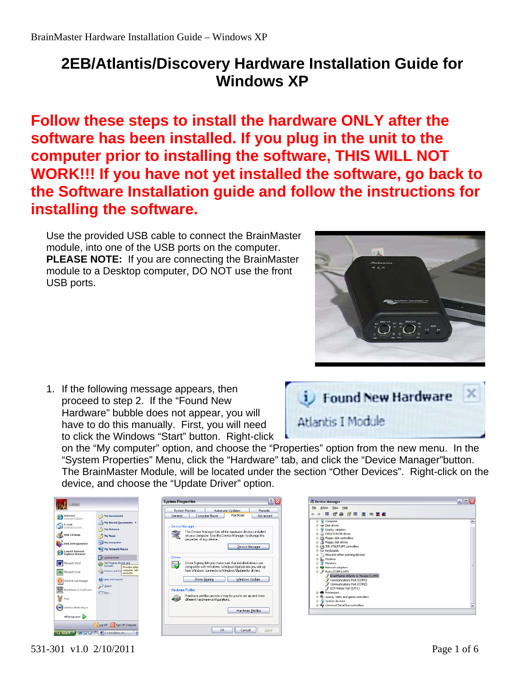## **2EB/Atlantis/Discovery Hardware Installation Guide for Windows XP**

**Follow these steps to install the hardware ONLY after the software has been installed. If you plug in the unit to the computer prior to installing the software, THIS WILL NOT WORK!!! If you have not yet installed the software, go back to the Software Installation guide and follow the instructions for installing the software.** 

Use the provided USB cable to connect the BrainMaster module, into one of the USB ports on the computer. **PLEASE NOTE:** If you are connecting the BrainMaster module to a Desktop computer, DO NOT use the front USB ports.



1. If the following message appears, then proceed to step 2. If the "Found New Hardware" bubble does not appear, you will have to do this manually. First, you will need to click the Windows "Start" button. Right-click



on the "My computer" option, and choose the "Properties" option from the new menu. In the "System Properties" Menu, click the "Hardware" tab, and click the "Device Manager"button. The BrainMaster Module, will be located under the section "Other Devices". Right-click on the device, and choose the "Update Driver" option.



| Action View Help<br>Eile I                           |  |
|------------------------------------------------------|--|
| 10 2 4 2 5 2 3 4                                     |  |
| Computer                                             |  |
| Le Dick drives                                       |  |
| Display adapters                                     |  |
| LA DVD/CD-ROM drives                                 |  |
| <sup>(a)</sup> <sup>El</sup> Floppy disk controllers |  |
| H LL Floppy disk drives                              |  |
| E CA IDE ATA/ATAPI controllers                       |  |
| Revboards                                            |  |
| (ii) Mice and other pointing devices                 |  |
| Moderns<br><b>B</b> Monitors                         |  |
| <b>B</b> Network adapters                            |  |
| Ports (COM & LPT)                                    |  |
| PrainMaster Atlantis II Module (COM4)                |  |
| Communications Port (COM1)                           |  |
| Communications Port (COM2)                           |  |
| ECP Printer Port (LPT1)                              |  |
| <b>Processors</b>                                    |  |
| C. Sound, video and game controllers                 |  |
| System devices                                       |  |
| + Ge Universal Serial Bus controllers                |  |
|                                                      |  |

531-301 v1.0 2/10/2011 Page 1 of 6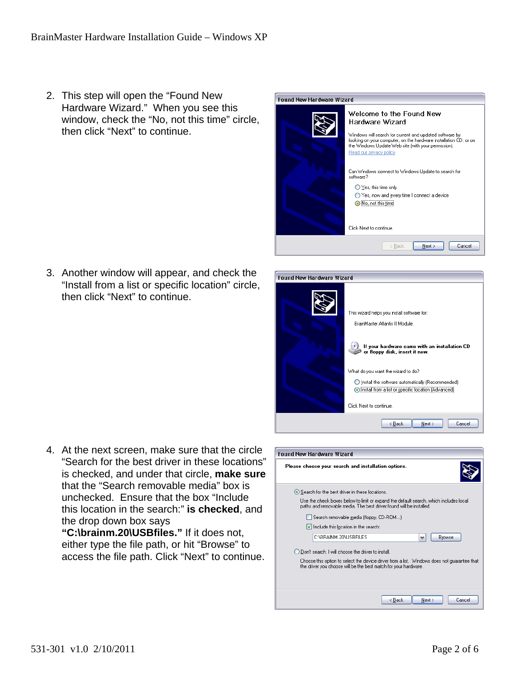2. This step will open the "Found New Hardware Wizard." When you see this window, check the "No, not this time" circle, then click "Next" to continue.



3. Another window will appear, and check the "Install from a list or specific location" circle, then click "Next" to continue.

| Found New Hardware Wizard                                                                                                                                                                                                                                                                                                                             |
|-------------------------------------------------------------------------------------------------------------------------------------------------------------------------------------------------------------------------------------------------------------------------------------------------------------------------------------------------------|
| This wizard helps you install software for:<br>BrainMaster Atlantis II Module<br>If your hardware came with an installation CD<br>or floppy disk, insert it now.<br>What do you want the wizard to do?<br>Install the software automatically (Recommended)<br><b>O Install from a list or specific location (Advanced)</b><br>Click Next to continue. |
| Next ><br>Cancel<br>< Back                                                                                                                                                                                                                                                                                                                            |

4. At the next screen, make sure that the circle "Search for the best driver in these locations" is checked, and under that circle, **make sure** that the "Search removable media" box is unchecked. Ensure that the box "Include this location in the search:" **is checked**, and the drop down box says

**"C:\brainm.20\USBfiles."** If it does not, either type the file path, or hit "Browse" to access the file path. Click "Next" to continue.

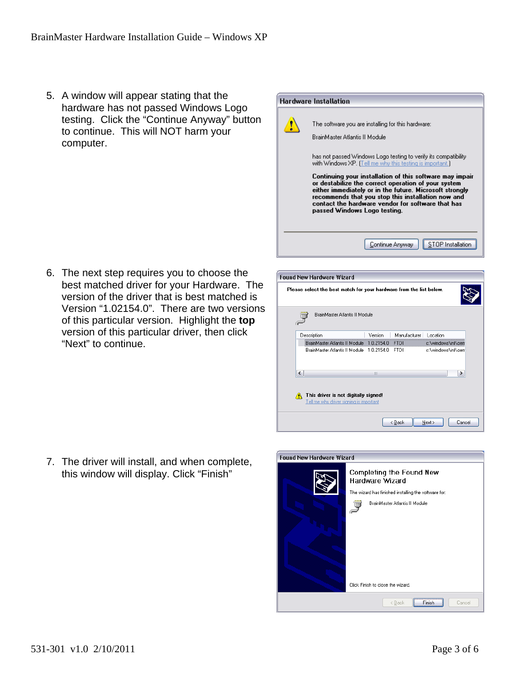5. A window will appear stating that the hardware has not passed Windows Logo testing. Click the "Continue Anyway" button to continue. This will NOT harm your computer.



6. The next step requires you to choose the best matched driver for your Hardware. The version of the driver that is best matched is Version "1.02154.0". There are two versions of this particular version. Highlight the **top** version of this particular driver, then click "Next" to continue.

| Please select the best match for your hardware from the list below.                  |  |  |  |  |  |  |  |
|--------------------------------------------------------------------------------------|--|--|--|--|--|--|--|
| BrainMaster Atlantis II Module                                                       |  |  |  |  |  |  |  |
| Description<br>Version<br>Location<br>Manufacturer                                   |  |  |  |  |  |  |  |
| 1.0.2154.0<br><b>FTDI</b><br>BrainMaster Atlantis II Module<br>c:\windows\inf\oem    |  |  |  |  |  |  |  |
| BrainMaster Atlantis II Module 1.0.2154.0<br>FTDI.<br>c:\windows\inf\oem             |  |  |  |  |  |  |  |
| $\left\langle \right\rangle$<br>٠<br>Ш                                               |  |  |  |  |  |  |  |
| This driver is not digitally signed!<br>А<br>Tell me why driver signing is important |  |  |  |  |  |  |  |
| Next ><br>Cancel<br>< Back                                                           |  |  |  |  |  |  |  |

Found New Hardware Wizard

7. The driver will install, and when complete, this window will display. Click "Finish"

| <b>Found New Hardware Wizard</b><br>Completing the Found New<br><b>Hardware Wizard</b> |  |  |
|----------------------------------------------------------------------------------------|--|--|
| The wizard has finished installing the software for:                                   |  |  |
| BrainMaster Atlantis II Module                                                         |  |  |
| Click Finish to close the wizard.                                                      |  |  |
| < Back<br>Cancel<br>Finish                                                             |  |  |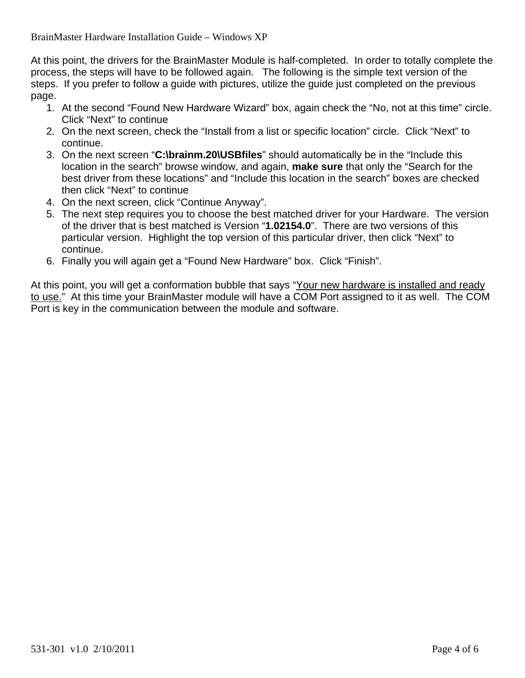At this point, the drivers for the BrainMaster Module is half-completed. In order to totally complete the process, the steps will have to be followed again. The following is the simple text version of the steps. If you prefer to follow a guide with pictures, utilize the guide just completed on the previous page.

- 1. At the second "Found New Hardware Wizard" box, again check the "No, not at this time" circle. Click "Next" to continue
- 2. On the next screen, check the "Install from a list or specific location" circle. Click "Next" to continue.
- 3. On the next screen "**C:\brainm.20\USBfiles**" should automatically be in the "Include this location in the search" browse window, and again, **make sure** that only the "Search for the best driver from these locations" and "Include this location in the search" boxes are checked then click "Next" to continue
- 4. On the next screen, click "Continue Anyway".
- 5. The next step requires you to choose the best matched driver for your Hardware. The version of the driver that is best matched is Version "**1.02154.0**". There are two versions of this particular version. Highlight the top version of this particular driver, then click "Next" to continue.
- 6. Finally you will again get a "Found New Hardware" box. Click "Finish".

At this point, you will get a conformation bubble that says "Your new hardware is installed and ready to use." At this time your BrainMaster module will have a COM Port assigned to it as well. The COM Port is key in the communication between the module and software.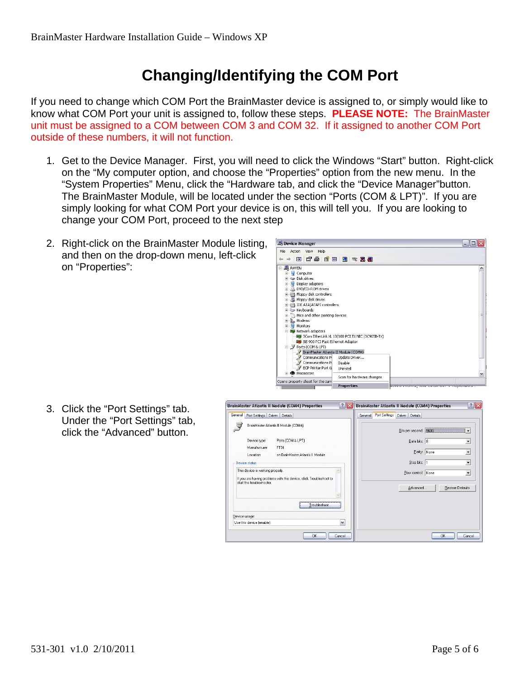## **Changing/Identifying the COM Port**

If you need to change which COM Port the BrainMaster device is assigned to, or simply would like to know what COM Port your unit is assigned to, follow these steps. **PLEASE NOTE:** The BrainMaster unit must be assigned to a COM between COM 3 and COM 32. If it assigned to another COM Port outside of these numbers, it will not function.

- 1. Get to the Device Manager. First, you will need to click the Windows "Start" button. Right-click on the "My computer option, and choose the "Properties" option from the new menu. In the "System Properties" Menu, click the "Hardware tab, and click the "Device Manager"button. The BrainMaster Module, will be located under the section "Ports (COM & LPT)". If you are simply looking for what COM Port your device is on, this will tell you. If you are looking to change your COM Port, proceed to the next step
- 2. Right-click on the BrainMaster Module listing, and then on the drop-down menu, left-click on "Properties":



3. Click the "Port Settings" tab. Under the "Port Settings" tab, click the "Advanced" button.